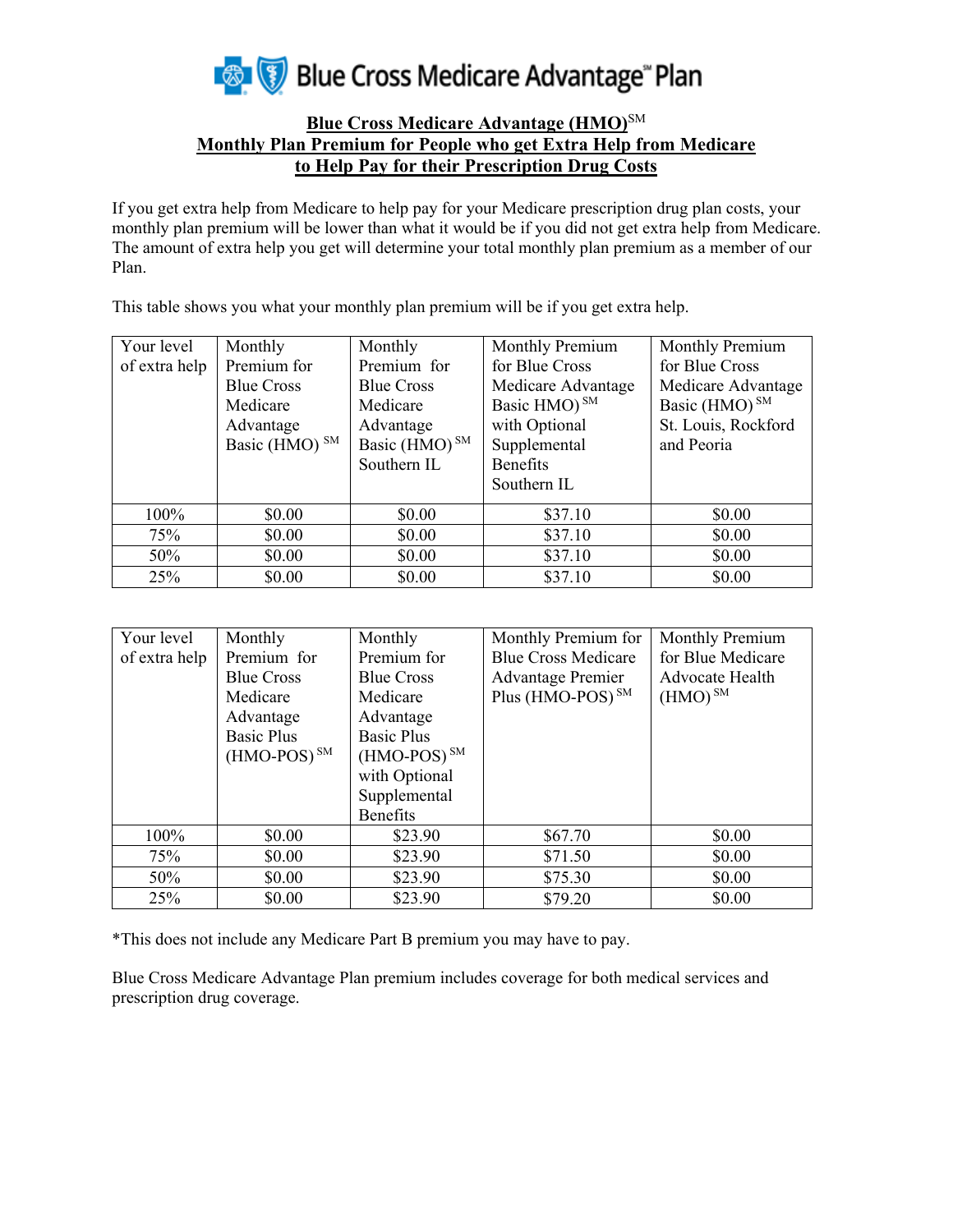

## **Blue Cross Medicare Advantage (HMO)**SM **Monthly Plan Premium for People who get Extra Help from Medicare to Help Pay for their Prescription Drug Costs**

If you get extra help from Medicare to help pay for your Medicare prescription drug plan costs, your monthly plan premium will be lower than what it would be if you did not get extra help from Medicare. The amount of extra help you get will determine your total monthly plan premium as a member of our Plan.

This table shows you what your monthly plan premium will be if you get extra help.

| Your level    | Monthly                   | Monthly                   | Monthly Premium          | Monthly Premium           |
|---------------|---------------------------|---------------------------|--------------------------|---------------------------|
| of extra help | Premium for               | Premium for               | for Blue Cross           | for Blue Cross            |
|               | <b>Blue Cross</b>         | <b>Blue Cross</b>         | Medicare Advantage       | Medicare Advantage        |
|               | Medicare                  | Medicare                  | Basic HMO) <sup>SM</sup> | Basic (HMO) <sup>SM</sup> |
|               | Advantage                 | Advantage                 | with Optional            | St. Louis, Rockford       |
|               | Basic (HMO) <sup>SM</sup> | Basic (HMO) <sup>SM</sup> | Supplemental             | and Peoria                |
|               |                           | Southern IL               | <b>Benefits</b>          |                           |
|               |                           |                           | Southern IL              |                           |
| 100%          | \$0.00                    | \$0.00                    | \$37.10                  | \$0.00                    |
| 75%           | \$0.00                    | \$0.00                    | \$37.10                  | \$0.00                    |
| 50%           | \$0.00                    | \$0.00                    | \$37.10                  | \$0.00                    |
| 25%           | \$0.00                    | \$0.00                    | \$37.10                  | \$0.00                    |

| Your level    | Monthly           | Monthly           | Monthly Premium for          | Monthly Premium   |
|---------------|-------------------|-------------------|------------------------------|-------------------|
| of extra help | Premium for       | Premium for       | <b>Blue Cross Medicare</b>   | for Blue Medicare |
|               | <b>Blue Cross</b> | <b>Blue Cross</b> | <b>Advantage Premier</b>     | Advocate Health   |
|               | Medicare          | Medicare          | Plus (HMO-POS) <sup>SM</sup> | $(HMO)^{SM}$      |
|               | Advantage         | Advantage         |                              |                   |
|               | <b>Basic Plus</b> | <b>Basic Plus</b> |                              |                   |
|               | $(HMO-POS)^{SM}$  | $(HMO-POS)^{SM}$  |                              |                   |
|               |                   | with Optional     |                              |                   |
|               |                   | Supplemental      |                              |                   |
|               |                   | <b>Benefits</b>   |                              |                   |
| 100%          | \$0.00            | \$23.90           | \$67.70                      | \$0.00            |
| 75%           | \$0.00            | \$23.90           | \$71.50                      | \$0.00            |
| 50%           | \$0.00            | \$23.90           | \$75.30                      | \$0.00            |
| 25%           | \$0.00            | \$23.90           | \$79.20                      | \$0.00            |

\*This does not include any Medicare Part B premium you may have to pay.

Blue Cross Medicare Advantage Plan premium includes coverage for both medical services and prescription drug coverage.